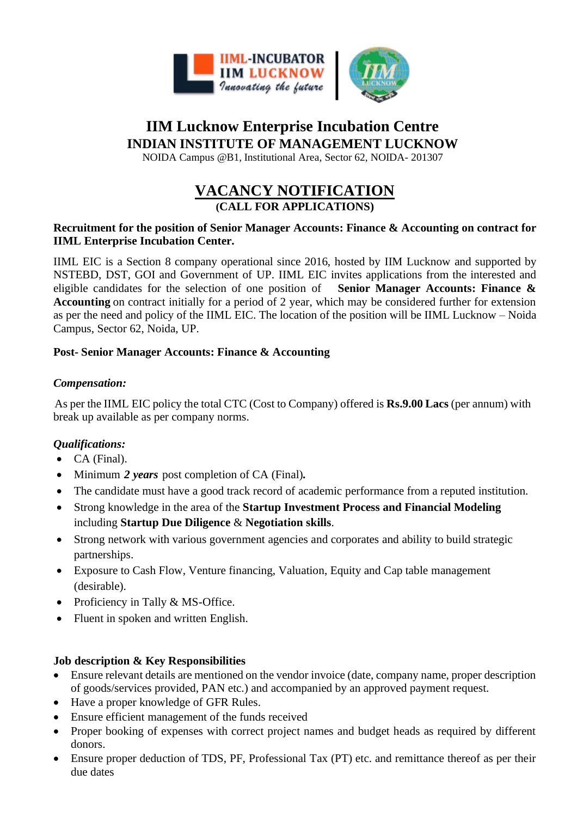

# **IIM Lucknow Enterprise Incubation Centre INDIAN INSTITUTE OF MANAGEMENT LUCKNOW**

NOIDA Campus @B1, Institutional Area, Sector 62, NOIDA- 201307

## **VACANCY NOTIFICATION (CALL FOR APPLICATIONS)**

#### **Recruitment for the position of Senior Manager Accounts: Finance & Accounting on contract for IIML Enterprise Incubation Center.**

IIML EIC is a Section 8 company operational since 2016, hosted by IIM Lucknow and supported by NSTEBD, DST, GOI and Government of UP. IIML EIC invites applications from the interested and eligible candidates for the selection of one position of **Senior Manager Accounts: Finance & Accounting** on contract initially for a period of 2 year, which may be considered further for extension as per the need and policy of the IIML EIC. The location of the position will be IIML Lucknow – Noida Campus, Sector 62, Noida, UP.

## **Post- Senior Manager Accounts: Finance & Accounting**

## *Compensation:*

As per the IIML EIC policy the total CTC (Cost to Company) offered is **Rs.9.00 Lacs** (per annum) with break up available as per company norms.

## *Qualifications:*

- CA (Final).
- Minimum *2 years* post completion of CA (Final)*.*
- The candidate must have a good track record of academic performance from a reputed institution.
- Strong knowledge in the area of the **Startup Investment Process and Financial Modeling** including **Startup Due Diligence** & **Negotiation skills**.
- Strong network with various government agencies and corporates and ability to build strategic partnerships.
- Exposure to Cash Flow, Venture financing, Valuation, Equity and Cap table management (desirable).
- Proficiency in Tally & MS-Office.
- Fluent in spoken and written English.

## **Job description & Key Responsibilities**

- Ensure relevant details are mentioned on the vendor invoice (date, company name, proper description of goods/services provided, PAN etc.) and accompanied by an approved payment request.
- Have a proper knowledge of GFR Rules.
- Ensure efficient management of the funds received
- Proper booking of expenses with correct project names and budget heads as required by different donors.
- Ensure proper deduction of TDS, PF, Professional Tax (PT) etc. and remittance thereof as per their due dates